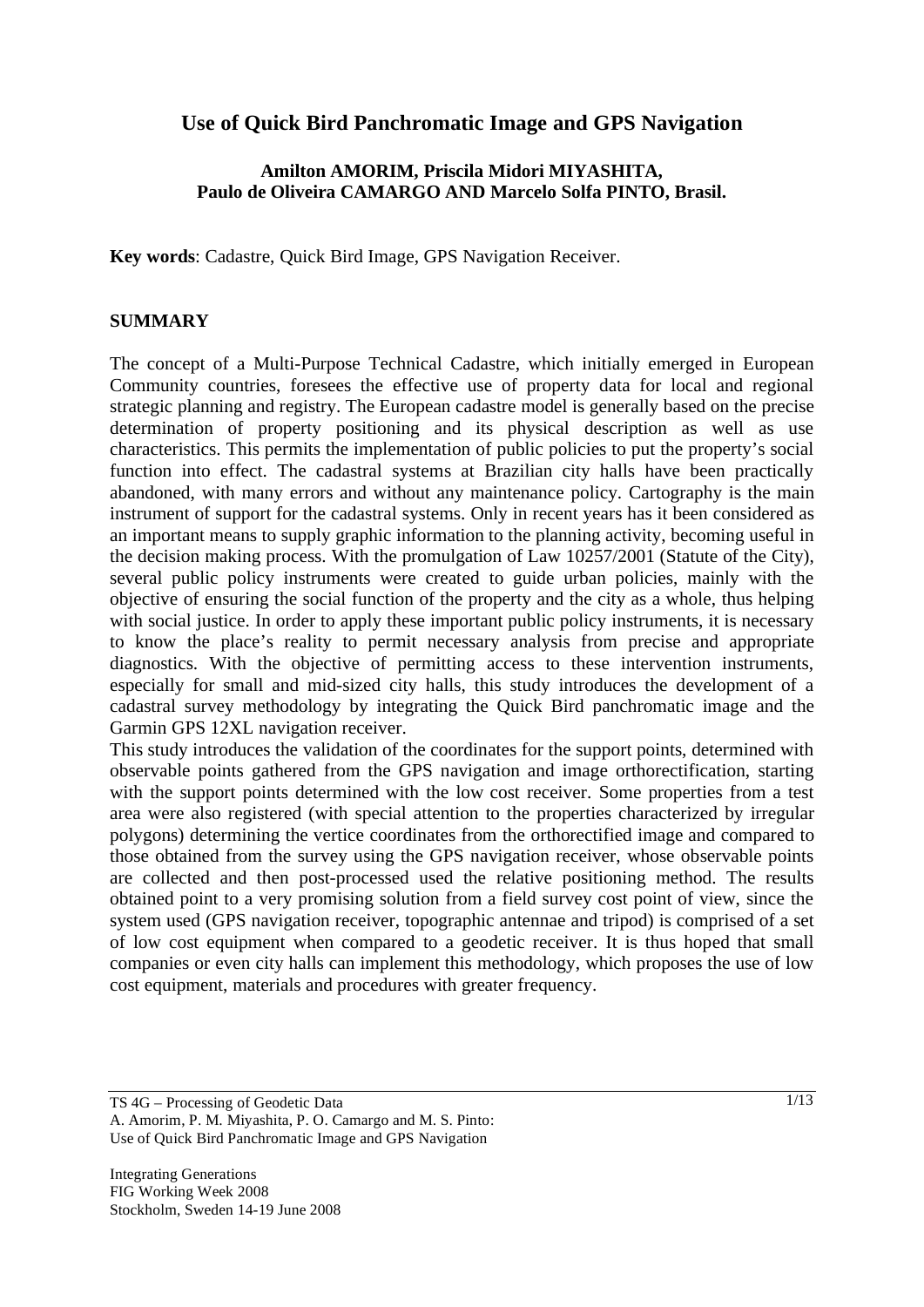# **Use of Quick Bird Panchromatic Image and GPS Navigation**

## **Amilton AMORIM, Priscila Midori MIYASHITA, Paulo de Oliveira CAMARGO AND Marcelo Solfa PINTO, Brasil.**

**Key words**: Cadastre, Quick Bird Image, GPS Navigation Receiver.

#### **SUMMARY**

The concept of a Multi-Purpose Technical Cadastre, which initially emerged in European Community countries, foresees the effective use of property data for local and regional strategic planning and registry. The European cadastre model is generally based on the precise determination of property positioning and its physical description as well as use characteristics. This permits the implementation of public policies to put the property's social function into effect. The cadastral systems at Brazilian city halls have been practically abandoned, with many errors and without any maintenance policy. Cartography is the main instrument of support for the cadastral systems. Only in recent years has it been considered as an important means to supply graphic information to the planning activity, becoming useful in the decision making process. With the promulgation of Law 10257/2001 (Statute of the City), several public policy instruments were created to guide urban policies, mainly with the objective of ensuring the social function of the property and the city as a whole, thus helping with social justice. In order to apply these important public policy instruments, it is necessary to know the place's reality to permit necessary analysis from precise and appropriate diagnostics. With the objective of permitting access to these intervention instruments, especially for small and mid-sized city halls, this study introduces the development of a cadastral survey methodology by integrating the Quick Bird panchromatic image and the Garmin GPS 12XL navigation receiver.

This study introduces the validation of the coordinates for the support points, determined with observable points gathered from the GPS navigation and image orthorectification, starting with the support points determined with the low cost receiver. Some properties from a test area were also registered (with special attention to the properties characterized by irregular polygons) determining the vertice coordinates from the orthorectified image and compared to those obtained from the survey using the GPS navigation receiver, whose observable points are collected and then post-processed used the relative positioning method. The results obtained point to a very promising solution from a field survey cost point of view, since the system used (GPS navigation receiver, topographic antennae and tripod) is comprised of a set of low cost equipment when compared to a geodetic receiver. It is thus hoped that small companies or even city halls can implement this methodology, which proposes the use of low cost equipment, materials and procedures with greater frequency.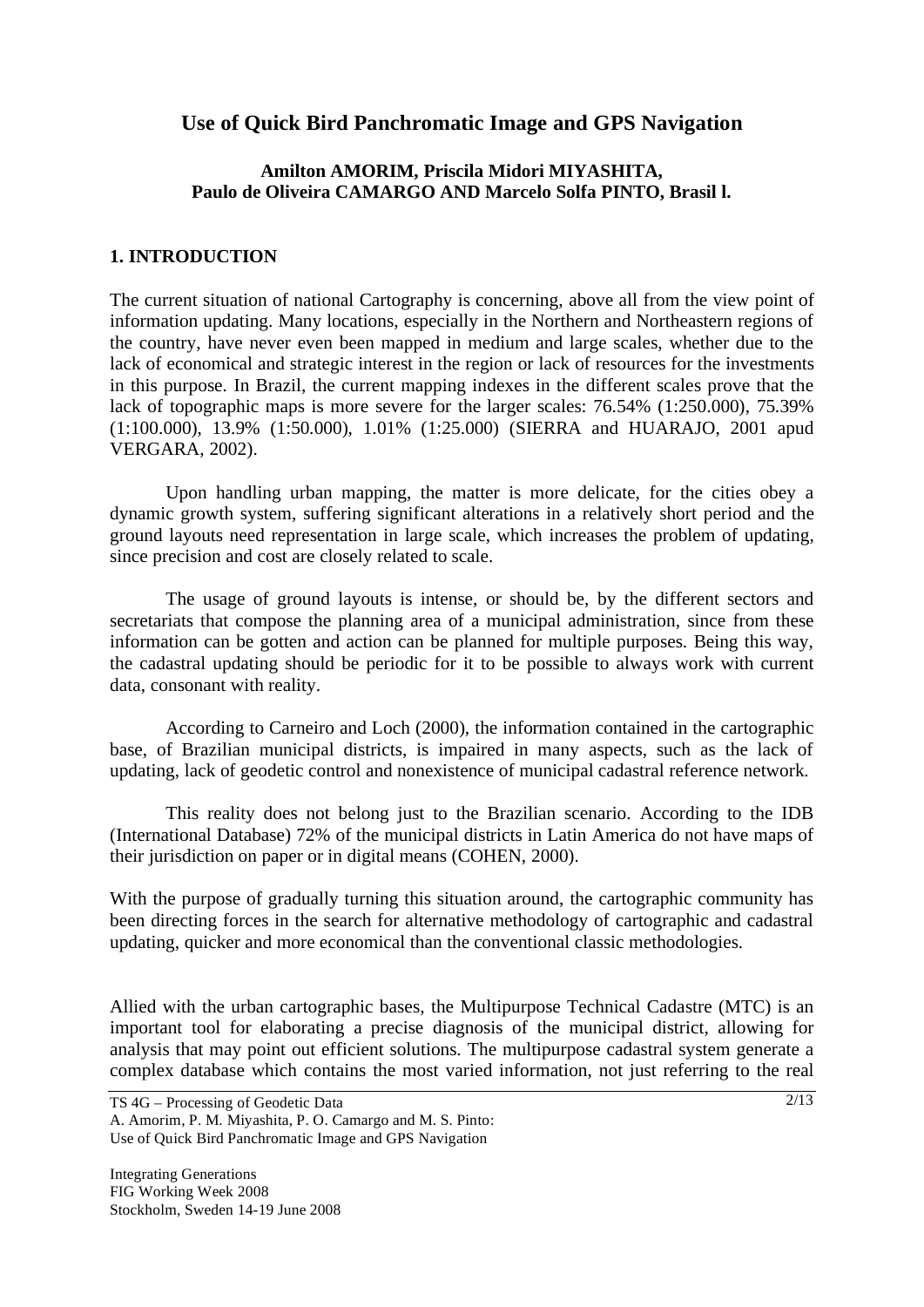# **Use of Quick Bird Panchromatic Image and GPS Navigation**

## **Amilton AMORIM, Priscila Midori MIYASHITA, Paulo de Oliveira CAMARGO AND Marcelo Solfa PINTO, Brasil l.**

#### **1. INTRODUCTION**

The current situation of national Cartography is concerning, above all from the view point of information updating. Many locations, especially in the Northern and Northeastern regions of the country, have never even been mapped in medium and large scales, whether due to the lack of economical and strategic interest in the region or lack of resources for the investments in this purpose. In Brazil, the current mapping indexes in the different scales prove that the lack of topographic maps is more severe for the larger scales: 76.54% (1:250.000), 75.39% (1:100.000), 13.9% (1:50.000), 1.01% (1:25.000) (SIERRA and HUARAJO, 2001 apud VERGARA, 2002).

 Upon handling urban mapping, the matter is more delicate, for the cities obey a dynamic growth system, suffering significant alterations in a relatively short period and the ground layouts need representation in large scale, which increases the problem of updating, since precision and cost are closely related to scale.

 The usage of ground layouts is intense, or should be, by the different sectors and secretariats that compose the planning area of a municipal administration, since from these information can be gotten and action can be planned for multiple purposes. Being this way, the cadastral updating should be periodic for it to be possible to always work with current data, consonant with reality.

 According to Carneiro and Loch (2000), the information contained in the cartographic base, of Brazilian municipal districts, is impaired in many aspects, such as the lack of updating, lack of geodetic control and nonexistence of municipal cadastral reference network.

 This reality does not belong just to the Brazilian scenario. According to the IDB (International Database) 72% of the municipal districts in Latin America do not have maps of their jurisdiction on paper or in digital means (COHEN, 2000).

With the purpose of gradually turning this situation around, the cartographic community has been directing forces in the search for alternative methodology of cartographic and cadastral updating, quicker and more economical than the conventional classic methodologies.

Allied with the urban cartographic bases, the Multipurpose Technical Cadastre (MTC) is an important tool for elaborating a precise diagnosis of the municipal district, allowing for analysis that may point out efficient solutions. The multipurpose cadastral system generate a complex database which contains the most varied information, not just referring to the real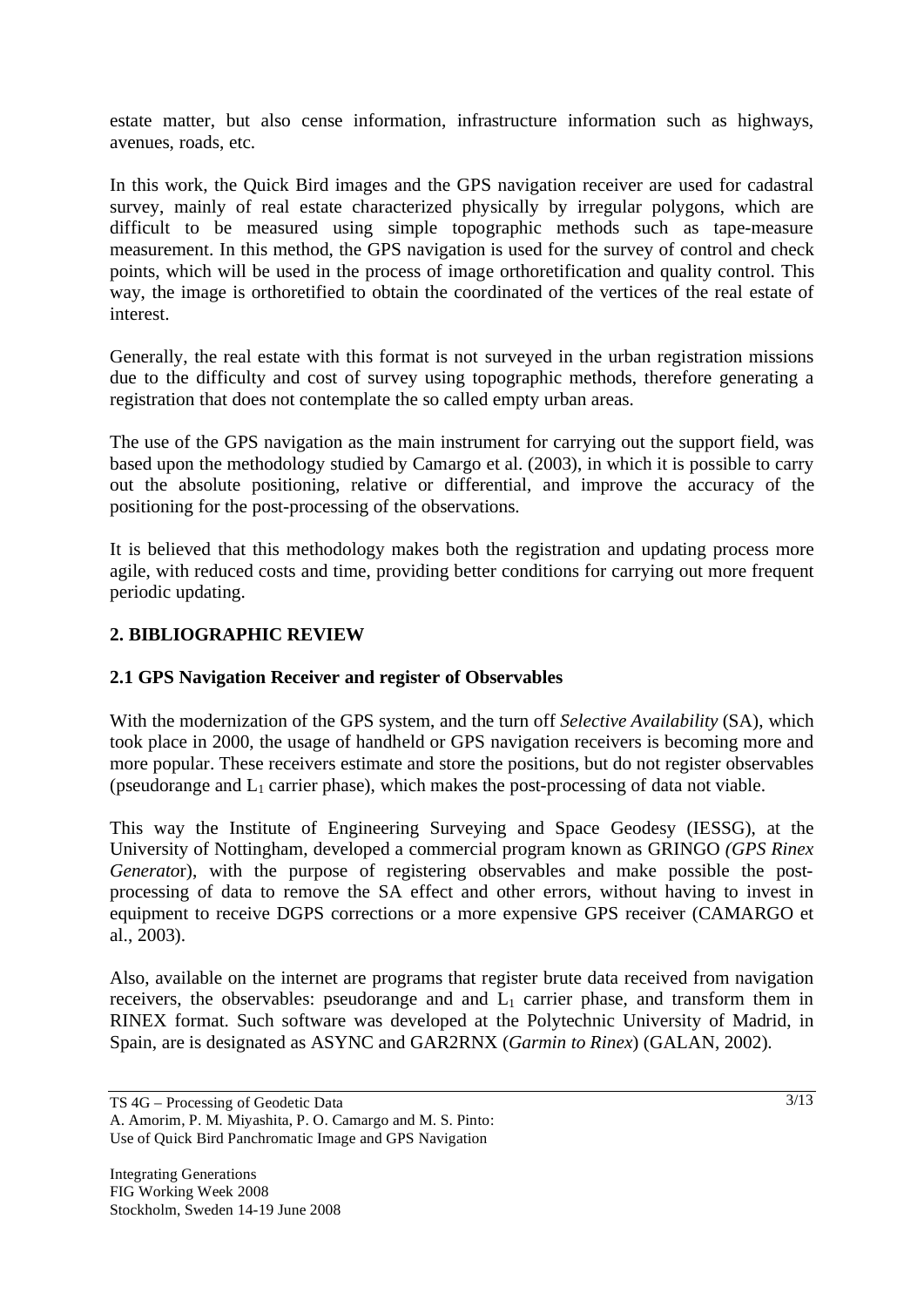estate matter, but also cense information, infrastructure information such as highways, avenues, roads, etc.

In this work, the Quick Bird images and the GPS navigation receiver are used for cadastral survey, mainly of real estate characterized physically by irregular polygons, which are difficult to be measured using simple topographic methods such as tape-measure measurement. In this method, the GPS navigation is used for the survey of control and check points, which will be used in the process of image orthoretification and quality control. This way, the image is orthoretified to obtain the coordinated of the vertices of the real estate of interest.

Generally, the real estate with this format is not surveyed in the urban registration missions due to the difficulty and cost of survey using topographic methods, therefore generating a registration that does not contemplate the so called empty urban areas.

The use of the GPS navigation as the main instrument for carrying out the support field, was based upon the methodology studied by Camargo et al. (2003), in which it is possible to carry out the absolute positioning, relative or differential, and improve the accuracy of the positioning for the post-processing of the observations.

It is believed that this methodology makes both the registration and updating process more agile, with reduced costs and time, providing better conditions for carrying out more frequent periodic updating.

# **2. BIBLIOGRAPHIC REVIEW**

### **2.1 GPS Navigation Receiver and register of Observables**

With the modernization of the GPS system, and the turn off *Selective Availability* (SA), which took place in 2000, the usage of handheld or GPS navigation receivers is becoming more and more popular. These receivers estimate and store the positions, but do not register observables (pseudorange and  $L_1$  carrier phase), which makes the post-processing of data not viable.

This way the Institute of Engineering Surveying and Space Geodesy (IESSG), at the University of Nottingham, developed a commercial program known as GRINGO *(GPS Rinex Generato*r), with the purpose of registering observables and make possible the postprocessing of data to remove the SA effect and other errors, without having to invest in equipment to receive DGPS corrections or a more expensive GPS receiver (CAMARGO et al., 2003).

Also, available on the internet are programs that register brute data received from navigation receivers, the observables: pseudorange and and  $L_1$  carrier phase, and transform them in RINEX format. Such software was developed at the Polytechnic University of Madrid, in Spain, are is designated as ASYNC and GAR2RNX (*Garmin to Rinex*) (GALAN, 2002).

TS 4G – Processing of Geodetic Data A. Amorim, P. M. Miyashita, P. O. Camargo and M. S. Pinto: Use of Quick Bird Panchromatic Image and GPS Navigation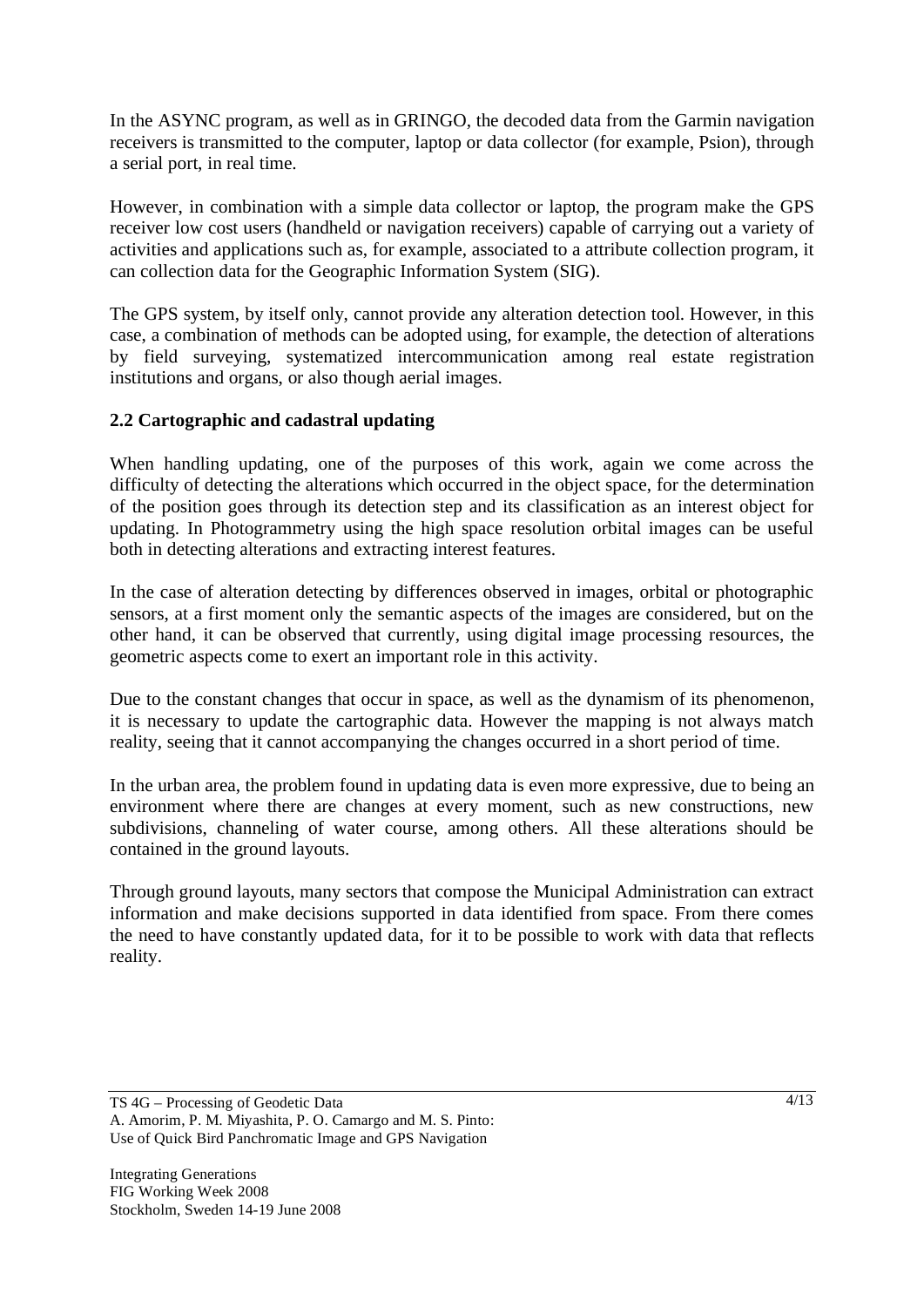In the ASYNC program, as well as in GRINGO, the decoded data from the Garmin navigation receivers is transmitted to the computer, laptop or data collector (for example, Psion), through a serial port, in real time.

However, in combination with a simple data collector or laptop, the program make the GPS receiver low cost users (handheld or navigation receivers) capable of carrying out a variety of activities and applications such as, for example, associated to a attribute collection program, it can collection data for the Geographic Information System (SIG).

The GPS system, by itself only, cannot provide any alteration detection tool. However, in this case, a combination of methods can be adopted using, for example, the detection of alterations by field surveying, systematized intercommunication among real estate registration institutions and organs, or also though aerial images.

# **2.2 Cartographic and cadastral updating**

When handling updating, one of the purposes of this work, again we come across the difficulty of detecting the alterations which occurred in the object space, for the determination of the position goes through its detection step and its classification as an interest object for updating. In Photogrammetry using the high space resolution orbital images can be useful both in detecting alterations and extracting interest features.

In the case of alteration detecting by differences observed in images, orbital or photographic sensors, at a first moment only the semantic aspects of the images are considered, but on the other hand, it can be observed that currently, using digital image processing resources, the geometric aspects come to exert an important role in this activity.

Due to the constant changes that occur in space, as well as the dynamism of its phenomenon, it is necessary to update the cartographic data. However the mapping is not always match reality, seeing that it cannot accompanying the changes occurred in a short period of time.

In the urban area, the problem found in updating data is even more expressive, due to being an environment where there are changes at every moment, such as new constructions, new subdivisions, channeling of water course, among others. All these alterations should be contained in the ground layouts.

Through ground layouts, many sectors that compose the Municipal Administration can extract information and make decisions supported in data identified from space. From there comes the need to have constantly updated data, for it to be possible to work with data that reflects reality.

TS 4G – Processing of Geodetic Data A. Amorim, P. M. Miyashita, P. O. Camargo and M. S. Pinto: Use of Quick Bird Panchromatic Image and GPS Navigation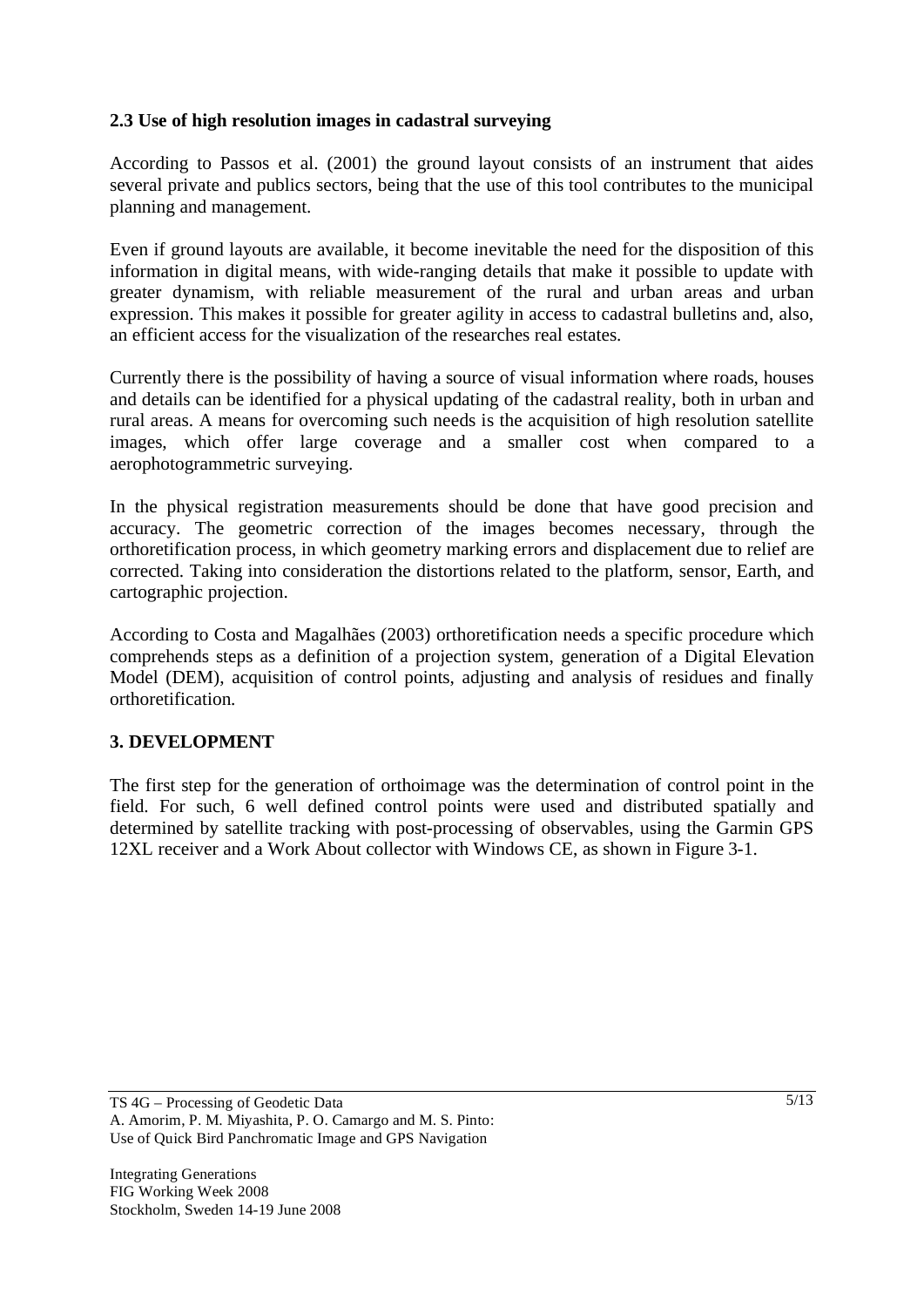## **2.3 Use of high resolution images in cadastral surveying**

According to Passos et al. (2001) the ground layout consists of an instrument that aides several private and publics sectors, being that the use of this tool contributes to the municipal planning and management.

Even if ground layouts are available, it become inevitable the need for the disposition of this information in digital means, with wide-ranging details that make it possible to update with greater dynamism, with reliable measurement of the rural and urban areas and urban expression. This makes it possible for greater agility in access to cadastral bulletins and, also, an efficient access for the visualization of the researches real estates.

Currently there is the possibility of having a source of visual information where roads, houses and details can be identified for a physical updating of the cadastral reality, both in urban and rural areas. A means for overcoming such needs is the acquisition of high resolution satellite images, which offer large coverage and a smaller cost when compared to a aerophotogrammetric surveying.

In the physical registration measurements should be done that have good precision and accuracy. The geometric correction of the images becomes necessary, through the orthoretification process, in which geometry marking errors and displacement due to relief are corrected. Taking into consideration the distortions related to the platform, sensor, Earth, and cartographic projection.

According to Costa and Magalhães (2003) orthoretification needs a specific procedure which comprehends steps as a definition of a projection system, generation of a Digital Elevation Model (DEM), acquisition of control points, adjusting and analysis of residues and finally orthoretification.

### **3. DEVELOPMENT**

The first step for the generation of orthoimage was the determination of control point in the field. For such, 6 well defined control points were used and distributed spatially and determined by satellite tracking with post-processing of observables, using the Garmin GPS 12XL receiver and a Work About collector with Windows CE, as shown in Figure 3-1.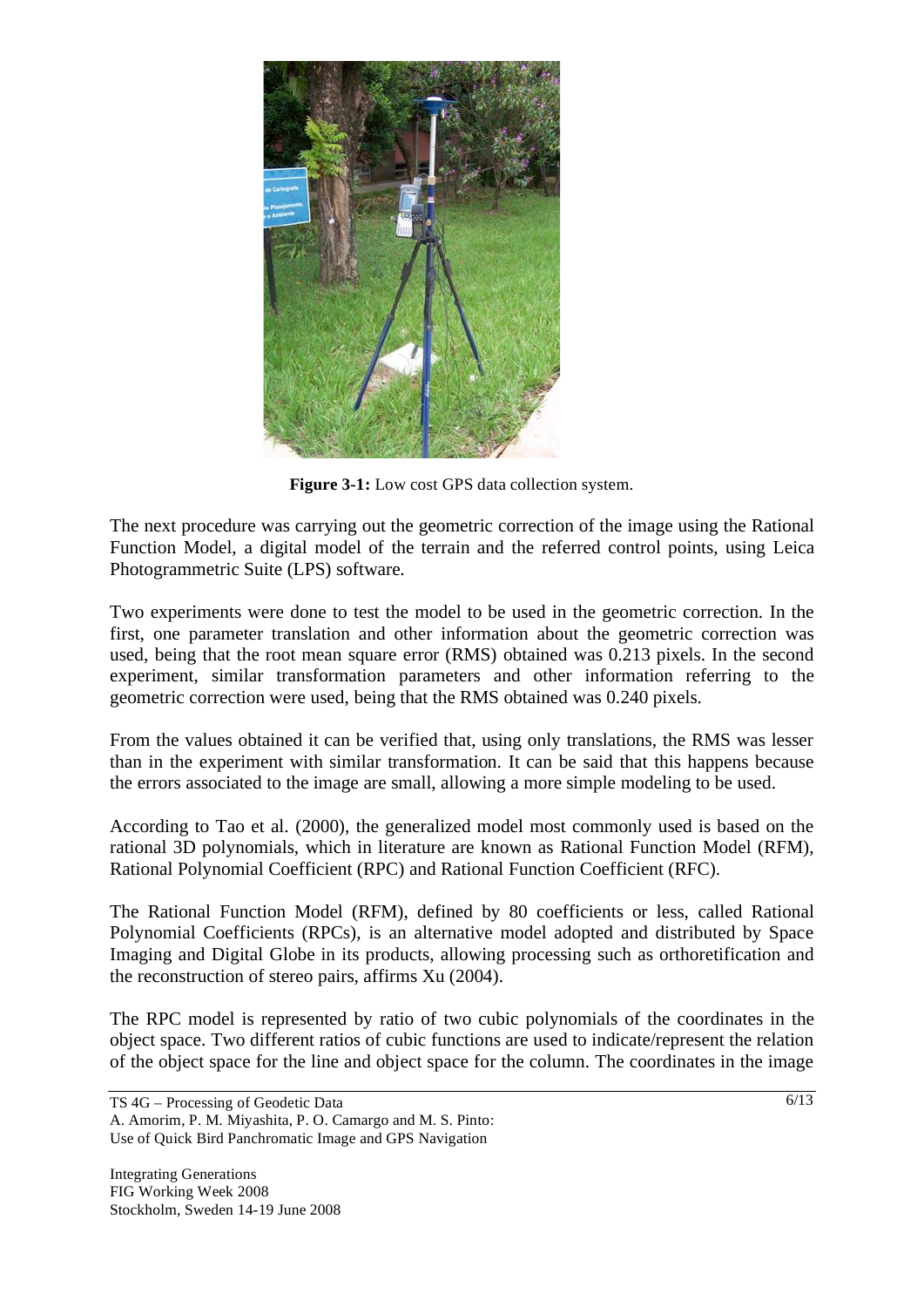

**Figure 3-1:** Low cost GPS data collection system.

The next procedure was carrying out the geometric correction of the image using the Rational Function Model, a digital model of the terrain and the referred control points, using Leica Photogrammetric Suite (LPS) software.

Two experiments were done to test the model to be used in the geometric correction. In the first, one parameter translation and other information about the geometric correction was used, being that the root mean square error (RMS) obtained was 0.213 pixels. In the second experiment, similar transformation parameters and other information referring to the geometric correction were used, being that the RMS obtained was 0.240 pixels.

From the values obtained it can be verified that, using only translations, the RMS was lesser than in the experiment with similar transformation. It can be said that this happens because the errors associated to the image are small, allowing a more simple modeling to be used.

According to Tao et al. (2000), the generalized model most commonly used is based on the rational 3D polynomials, which in literature are known as Rational Function Model (RFM), Rational Polynomial Coefficient (RPC) and Rational Function Coefficient (RFC).

The Rational Function Model (RFM), defined by 80 coefficients or less, called Rational Polynomial Coefficients (RPCs), is an alternative model adopted and distributed by Space Imaging and Digital Globe in its products, allowing processing such as orthoretification and the reconstruction of stereo pairs, affirms Xu (2004).

The RPC model is represented by ratio of two cubic polynomials of the coordinates in the object space. Two different ratios of cubic functions are used to indicate/represent the relation of the object space for the line and object space for the column. The coordinates in the image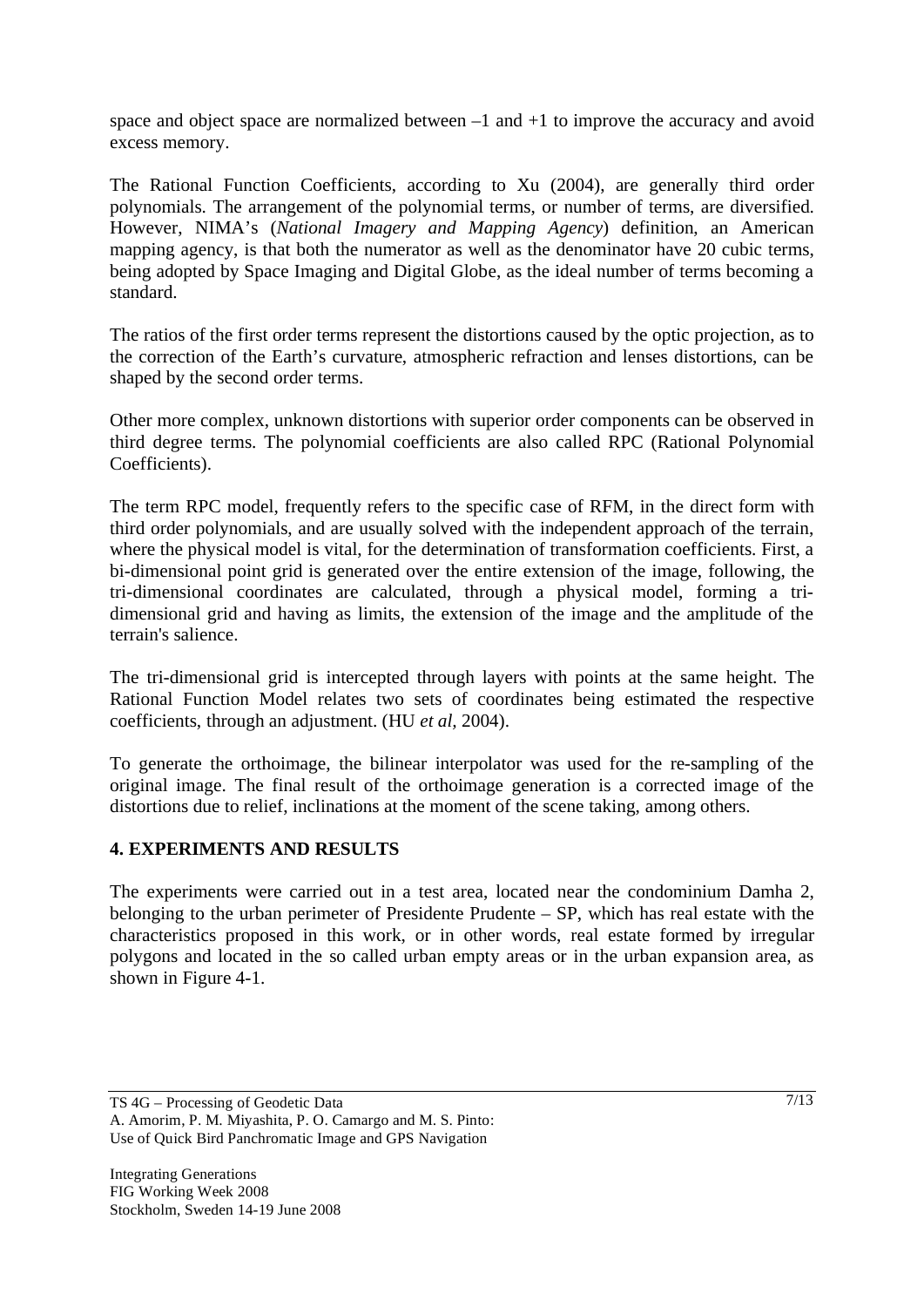space and object space are normalized between  $-1$  and  $+1$  to improve the accuracy and avoid excess memory.

The Rational Function Coefficients, according to Xu (2004), are generally third order polynomials. The arrangement of the polynomial terms, or number of terms, are diversified. However, NIMA's (*National Imagery and Mapping Agency*) definition, an American mapping agency, is that both the numerator as well as the denominator have 20 cubic terms, being adopted by Space Imaging and Digital Globe, as the ideal number of terms becoming a standard.

The ratios of the first order terms represent the distortions caused by the optic projection, as to the correction of the Earth's curvature, atmospheric refraction and lenses distortions, can be shaped by the second order terms.

Other more complex, unknown distortions with superior order components can be observed in third degree terms. The polynomial coefficients are also called RPC (Rational Polynomial Coefficients).

The term RPC model, frequently refers to the specific case of RFM, in the direct form with third order polynomials, and are usually solved with the independent approach of the terrain, where the physical model is vital, for the determination of transformation coefficients. First, a bi-dimensional point grid is generated over the entire extension of the image, following, the tri-dimensional coordinates are calculated, through a physical model, forming a tridimensional grid and having as limits, the extension of the image and the amplitude of the terrain's salience.

The tri-dimensional grid is intercepted through layers with points at the same height. The Rational Function Model relates two sets of coordinates being estimated the respective coefficients, through an adjustment. (HU *et al,* 2004).

To generate the orthoimage, the bilinear interpolator was used for the re-sampling of the original image. The final result of the orthoimage generation is a corrected image of the distortions due to relief, inclinations at the moment of the scene taking, among others.

### **4. EXPERIMENTS AND RESULTS**

The experiments were carried out in a test area, located near the condominium Damha 2, belonging to the urban perimeter of Presidente Prudente – SP, which has real estate with the characteristics proposed in this work, or in other words, real estate formed by irregular polygons and located in the so called urban empty areas or in the urban expansion area, as shown in Figure 4-1.

TS 4G – Processing of Geodetic Data A. Amorim, P. M. Miyashita, P. O. Camargo and M. S. Pinto: Use of Quick Bird Panchromatic Image and GPS Navigation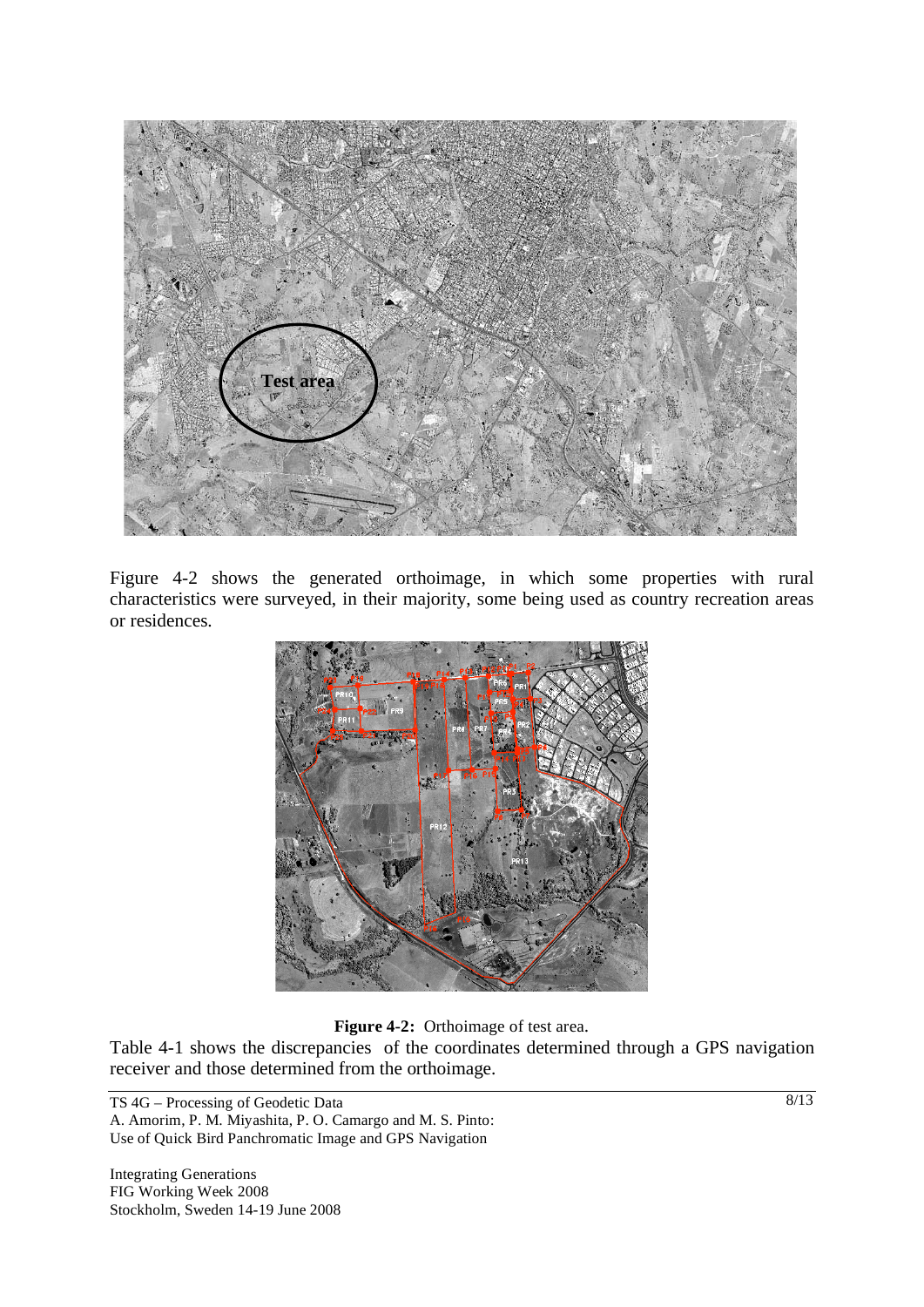

Figure 4-2 shows the generated orthoimage, in which some properties with rural characteristics were surveyed, in their majority, some being used as country recreation areas or residences.



**Figure 4-2:** Orthoimage of test area.

Table 4-1 shows the discrepancies of the coordinates determined through a GPS navigation receiver and those determined from the orthoimage.

TS 4G – Processing of Geodetic Data A. Amorim, P. M. Miyashita, P. O. Camargo and M. S. Pinto: Use of Quick Bird Panchromatic Image and GPS Navigation

Integrating Generations FIG Working Week 2008 Stockholm, Sweden 14-19 June 2008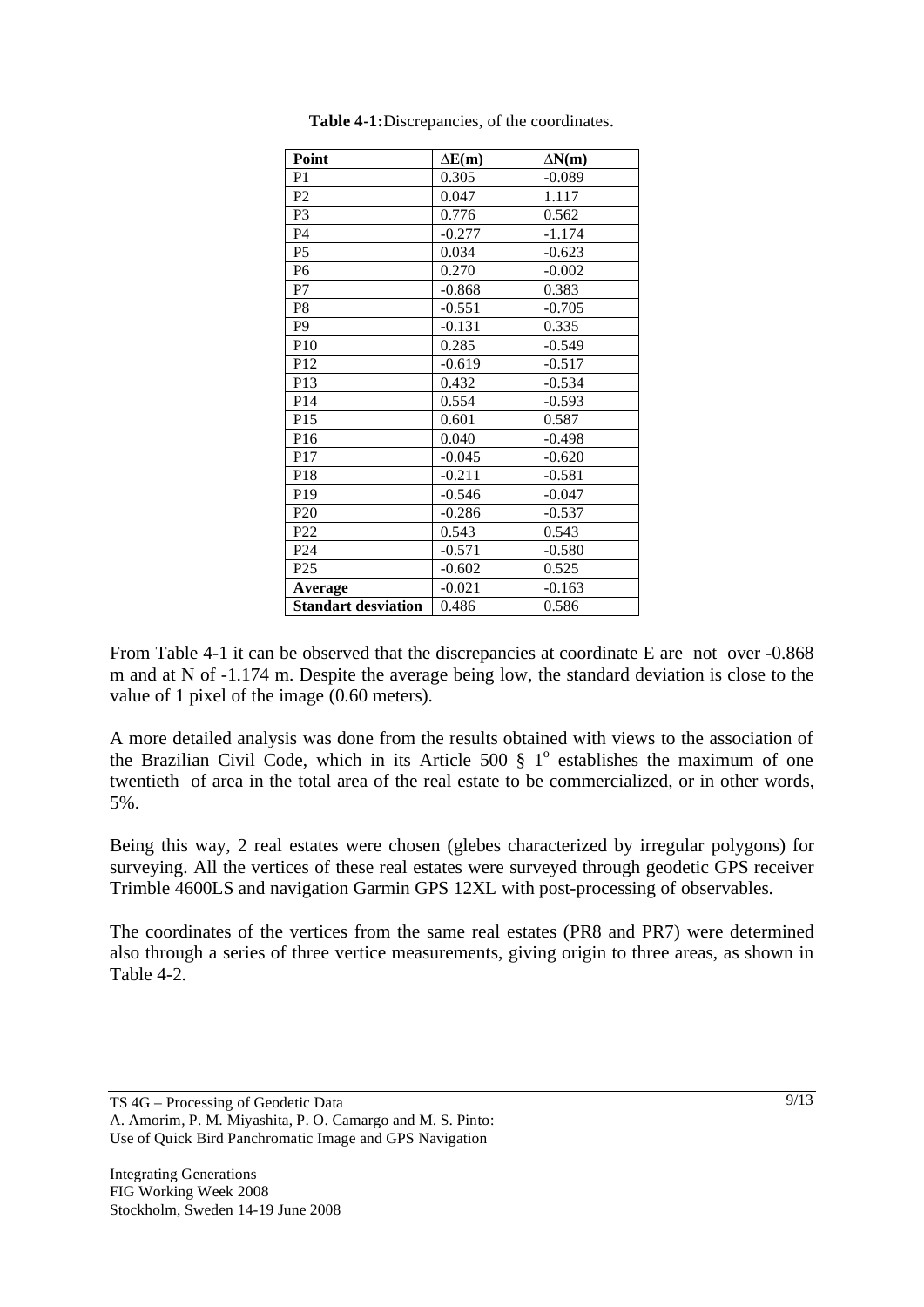| Point                      | $\Delta E(m)$ | $\Delta N(m)$ |
|----------------------------|---------------|---------------|
| P <sub>1</sub>             | 0.305         | $-0.089$      |
| P <sub>2</sub>             | 0.047         | 1.117         |
| P <sub>3</sub>             | 0.776         | 0.562         |
| P4                         | $-0.277$      | $-1.174$      |
| P <sub>5</sub>             | 0.034         | $-0.623$      |
| P6                         | 0.270         | $-0.002$      |
| P7                         | $-0.868$      | 0.383         |
| P <sub>8</sub>             | $-0.551$      | $-0.705$      |
| P <sub>9</sub>             | $-0.131$      | 0.335         |
| P10                        | 0.285         | $-0.549$      |
| P12                        | $-0.619$      | $-0.517$      |
| P13                        | 0.432         | $-0.534$      |
| P14                        | 0.554         | $-0.593$      |
| P15                        | 0.601         | 0.587         |
| P16                        | 0.040         | $-0.498$      |
| P17                        | $-0.045$      | $-0.620$      |
| P18                        | $-0.211$      | $-0.581$      |
| P19                        | $-0.546$      | $-0.047$      |
| P <sub>20</sub>            | $-0.286$      | $-0.537$      |
| P22                        | 0.543         | 0.543         |
| P <sub>24</sub>            | $-0.571$      | $-0.580$      |
| P <sub>25</sub>            | $-0.602$      | 0.525         |
| <b>Average</b>             | $-0.021$      | $-0.163$      |
| <b>Standart desviation</b> | 0.486         | 0.586         |

**Table 4-1:**Discrepancies, of the coordinates.

From Table 4-1 it can be observed that the discrepancies at coordinate E are not over -0.868 m and at N of -1.174 m. Despite the average being low, the standard deviation is close to the value of 1 pixel of the image (0.60 meters).

A more detailed analysis was done from the results obtained with views to the association of the Brazilian Civil Code, which in its Article 500  $\S$  1<sup>o</sup> establishes the maximum of one twentieth of area in the total area of the real estate to be commercialized, or in other words, 5%.

Being this way, 2 real estates were chosen (glebes characterized by irregular polygons) for surveying. All the vertices of these real estates were surveyed through geodetic GPS receiver Trimble 4600LS and navigation Garmin GPS 12XL with post-processing of observables.

The coordinates of the vertices from the same real estates (PR8 and PR7) were determined also through a series of three vertice measurements, giving origin to three areas, as shown in Table 4-2.

TS 4G – Processing of Geodetic Data A. Amorim, P. M. Miyashita, P. O. Camargo and M. S. Pinto: Use of Quick Bird Panchromatic Image and GPS Navigation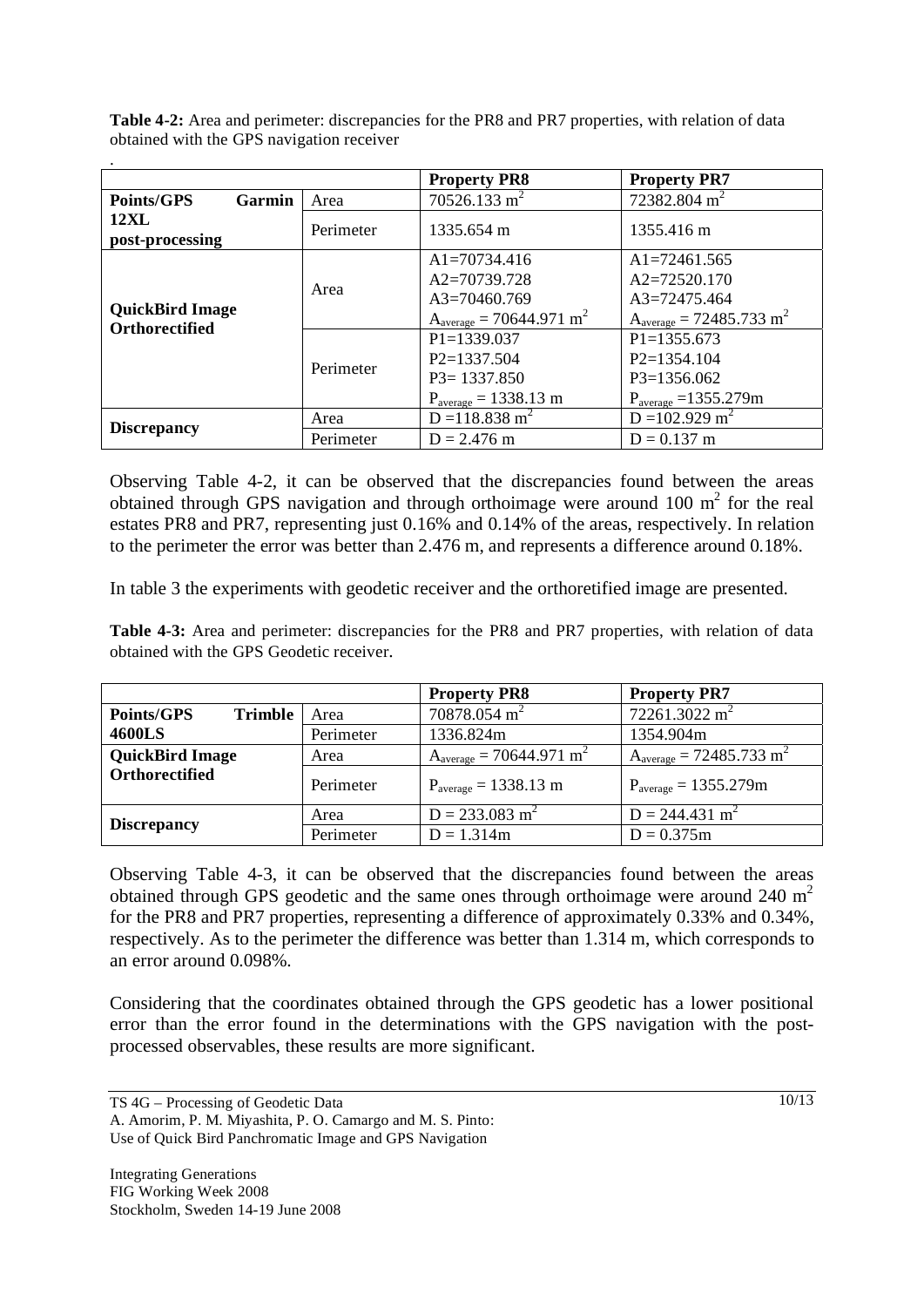**Table 4-2:** Area and perimeter: discrepancies for the PR8 and PR7 properties, with relation of data obtained with the GPS navigation receiver

|                                                 |           | <b>Property PR8</b>                      | <b>Property PR7</b>                   |
|-------------------------------------------------|-----------|------------------------------------------|---------------------------------------|
| <b>Points/GPS</b><br>Garmin                     | Area      | $70526.133 \text{ m}^2$                  | 72382.804 m <sup>2</sup>              |
| <b>12XL</b><br>post-processing                  | Perimeter | 1335.654 m                               | 1355.416 m                            |
| <b>QuickBird Image</b><br><b>Orthorectified</b> | Area      | $A1 = 70734.416$                         | $A1 = 72461.565$                      |
|                                                 |           | $A2=70739.728$                           | $A2 = 72520.170$                      |
|                                                 |           | $A3=70460.769$                           | $A3=72475.464$                        |
|                                                 |           | $A_{average} = 70644.971 m^2$            | $A_{average} = 72485.733 \text{ m}^2$ |
|                                                 | Perimeter | $P1 = 1339.037$                          | $P1 = 1355.673$                       |
|                                                 |           | $P2=1337.504$                            | $P2=1354.104$                         |
|                                                 |           | $P3 = 1337.850$                          | $P3=1356.062$                         |
|                                                 |           | $P_{\text{average}} = 1338.13 \text{ m}$ | $P_{average} = 1355.279m$             |
| <b>Discrepancy</b>                              | Area      | $D = 118.838$ m <sup>2</sup>             | $D = 102.929$ m <sup>2</sup>          |
|                                                 | Perimeter | $D = 2.476$ m                            | $D = 0.137$ m                         |

Observing Table 4-2, it can be observed that the discrepancies found between the areas obtained through GPS navigation and through orthoimage were around  $100 \text{ m}^2$  for the real estates PR8 and PR7, representing just 0.16% and 0.14% of the areas, respectively. In relation to the perimeter the error was better than 2.476 m, and represents a difference around 0.18%.

In table 3 the experiments with geodetic receiver and the orthoretified image are presented.

**Table 4-3:** Area and perimeter: discrepancies for the PR8 and PR7 properties, with relation of data obtained with the GPS Geodetic receiver.

|                                     |           | <b>Property PR8</b>                      | <b>Property PR7</b>                      |
|-------------------------------------|-----------|------------------------------------------|------------------------------------------|
| <b>Trimble</b><br><b>Points/GPS</b> | Area      | $70878.054 \text{ m}^2$                  | 72261.3022 m <sup>2</sup>                |
| 4600LS                              | Perimeter | 1336.824m                                | 1354.904m                                |
| <b>QuickBird Image</b>              | Area      | $A_{average} = 70644.971 \text{ m}^2$    | $A_{average} = 72485.733 m^2$            |
| Orthorectified                      | Perimeter | $P_{\text{average}} = 1338.13 \text{ m}$ | $P_{\text{average}} = 1355.279 \text{m}$ |
| <b>Discrepancy</b>                  | Area      | $D = 233.083$ m <sup>2</sup>             | $D = 244.431$ m <sup>2</sup>             |
|                                     | Perimeter | $D = 1.314m$                             | $D = 0.375m$                             |

Observing Table 4-3, it can be observed that the discrepancies found between the areas obtained through GPS geodetic and the same ones through orthoimage were around 240  $m<sup>2</sup>$ for the PR8 and PR7 properties, representing a difference of approximately 0.33% and 0.34%, respectively. As to the perimeter the difference was better than 1.314 m, which corresponds to an error around 0.098%.

Considering that the coordinates obtained through the GPS geodetic has a lower positional error than the error found in the determinations with the GPS navigation with the postprocessed observables, these results are more significant.

TS 4G – Processing of Geodetic Data A. Amorim, P. M. Miyashita, P. O. Camargo and M. S. Pinto: Use of Quick Bird Panchromatic Image and GPS Navigation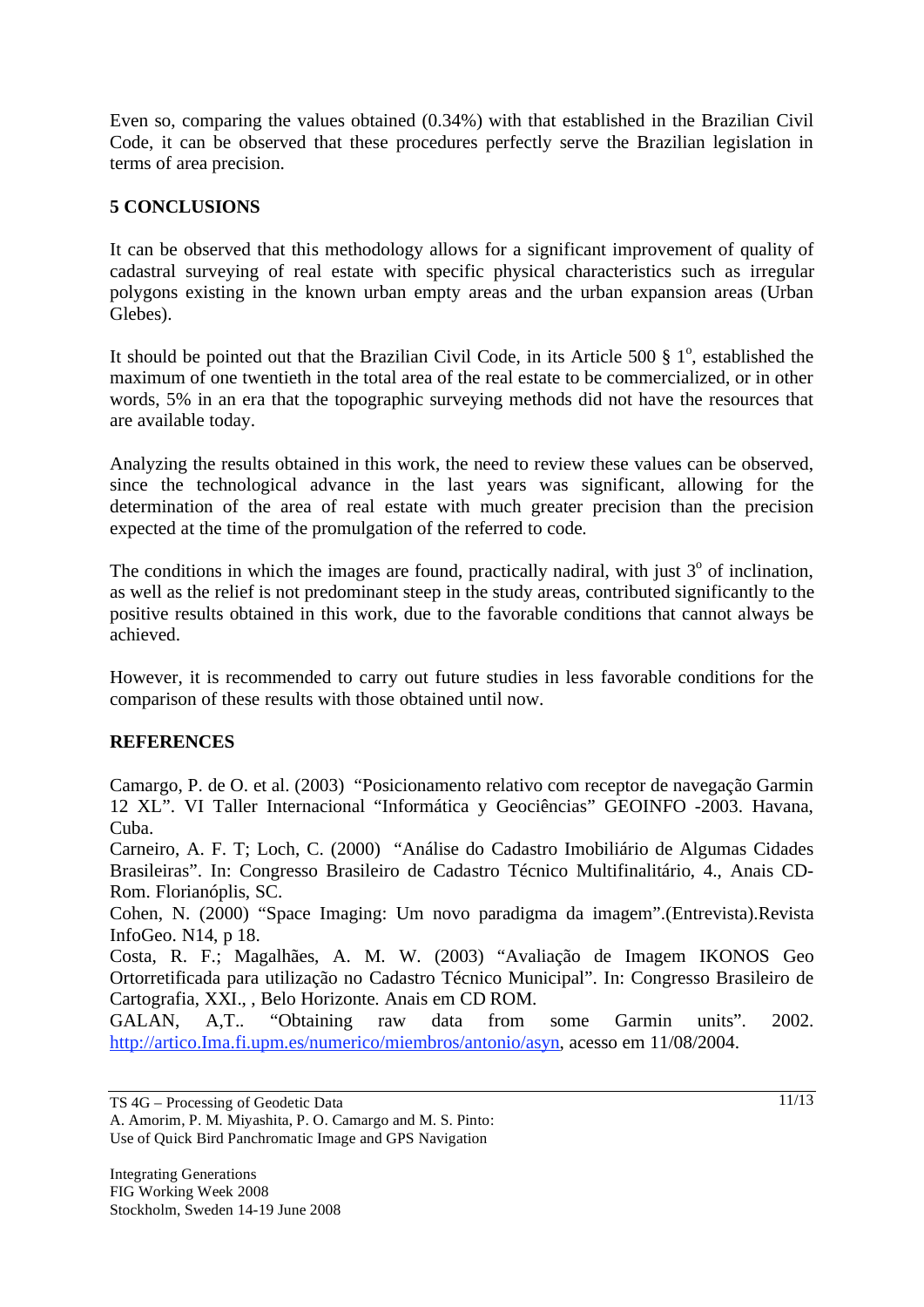Even so, comparing the values obtained (0.34%) with that established in the Brazilian Civil Code, it can be observed that these procedures perfectly serve the Brazilian legislation in terms of area precision.

# **5 CONCLUSIONS**

It can be observed that this methodology allows for a significant improvement of quality of cadastral surveying of real estate with specific physical characteristics such as irregular polygons existing in the known urban empty areas and the urban expansion areas (Urban Glebes).

It should be pointed out that the Brazilian Civil Code, in its Article 500  $\S$  1<sup>o</sup>, established the maximum of one twentieth in the total area of the real estate to be commercialized, or in other words, 5% in an era that the topographic surveying methods did not have the resources that are available today.

Analyzing the results obtained in this work, the need to review these values can be observed, since the technological advance in the last years was significant, allowing for the determination of the area of real estate with much greater precision than the precision expected at the time of the promulgation of the referred to code.

The conditions in which the images are found, practically nadiral, with just  $3^\circ$  of inclination, as well as the relief is not predominant steep in the study areas, contributed significantly to the positive results obtained in this work, due to the favorable conditions that cannot always be achieved.

However, it is recommended to carry out future studies in less favorable conditions for the comparison of these results with those obtained until now.

### **REFERENCES**

Camargo, P. de O. et al. (2003) "Posicionamento relativo com receptor de navegação Garmin 12 XL". VI Taller Internacional "Informática y Geociências" GEOINFO -2003. Havana, Cuba.

Carneiro, A. F. T; Loch, C. (2000) "Análise do Cadastro Imobiliário de Algumas Cidades Brasileiras". In: Congresso Brasileiro de Cadastro Técnico Multifinalitário, 4., Anais CD-Rom. Florianóplis, SC.

Cohen, N. (2000) "Space Imaging: Um novo paradigma da imagem".(Entrevista).Revista InfoGeo. N14, p 18.

Costa, R. F.; Magalhães, A. M. W. (2003) "Avaliação de Imagem IKONOS Geo Ortorretificada para utilização no Cadastro Técnico Municipal". In: Congresso Brasileiro de Cartografia, XXI., , Belo Horizonte. Anais em CD ROM.

GALAN, A,T.. "Obtaining raw data from some Garmin units". 2002. http://artico.Ima.fi.upm.es/numerico/miembros/antonio/asyn, acesso em 11/08/2004.

TS 4G – Processing of Geodetic Data

A. Amorim, P. M. Miyashita, P. O. Camargo and M. S. Pinto: Use of Quick Bird Panchromatic Image and GPS Navigation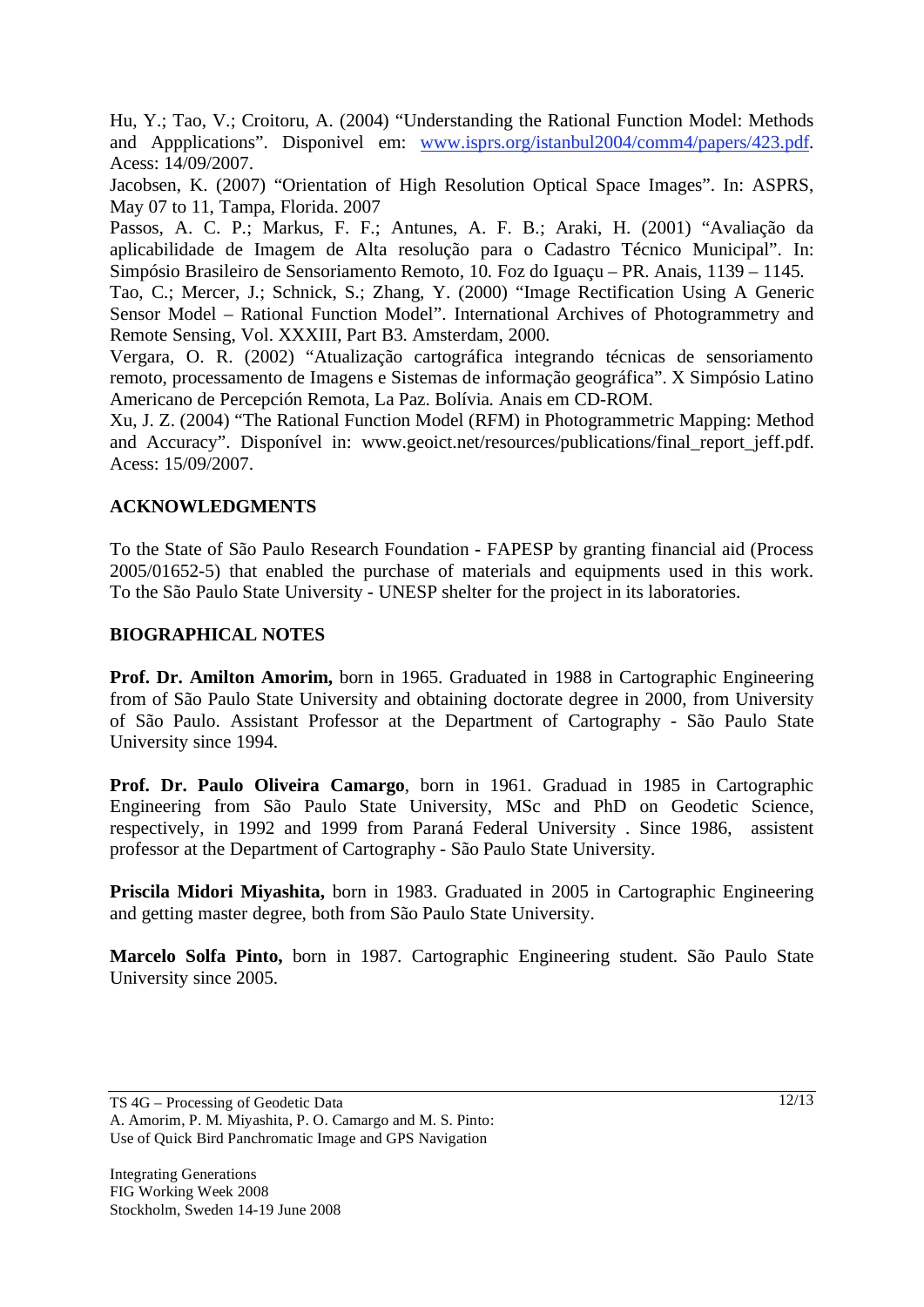Hu, Y.; Tao, V.; Croitoru, A. (2004) "Understanding the Rational Function Model: Methods and Appplications". Disponivel em: www.isprs.org/istanbul2004/comm4/papers/423.pdf. Acess: 14/09/2007.

Jacobsen, K. (2007) "Orientation of High Resolution Optical Space Images". In: ASPRS, May 07 to 11, Tampa, Florida. 2007

Passos, A. C. P.; Markus, F. F.; Antunes, A. F. B.; Araki, H. (2001) "Avaliação da aplicabilidade de Imagem de Alta resolução para o Cadastro Técnico Municipal". In: Simpósio Brasileiro de Sensoriamento Remoto, 10. Foz do Iguaçu – PR. Anais, 1139 – 1145.

Tao, C.; Mercer, J.; Schnick, S.; Zhang, Y. (2000) "Image Rectification Using A Generic Sensor Model – Rational Function Model". International Archives of Photogrammetry and Remote Sensing, Vol. XXXIII, Part B3. Amsterdam, 2000.

Vergara, O. R. (2002) "Atualização cartográfica integrando técnicas de sensoriamento remoto, processamento de Imagens e Sistemas de informação geográfica". X Simpósio Latino Americano de Percepción Remota, La Paz. Bolívia. Anais em CD-ROM.

Xu, J. Z. (2004) "The Rational Function Model (RFM) in Photogrammetric Mapping: Method and Accuracy". Disponível in: www.geoict.net/resources/publications/final report jeff.pdf. Acess: 15/09/2007.

# **ACKNOWLEDGMENTS**

To the State of São Paulo Research Foundation **-** FAPESP by granting financial aid (Process 2005/01652-5) that enabled the purchase of materials and equipments used in this work. To the São Paulo State University - UNESP shelter for the project in its laboratories.

### **BIOGRAPHICAL NOTES**

**Prof. Dr. Amilton Amorim,** born in 1965. Graduated in 1988 in Cartographic Engineering from of São Paulo State University and obtaining doctorate degree in 2000, from University of São Paulo. Assistant Professor at the Department of Cartography - São Paulo State University since 1994.

**Prof. Dr. Paulo Oliveira Camargo**, born in 1961. Graduad in 1985 in Cartographic Engineering from São Paulo State University, MSc and PhD on Geodetic Science, respectively, in 1992 and 1999 from Paraná Federal University . Since 1986, assistent professor at the Department of Cartography - São Paulo State University.

**Priscila Midori Miyashita,** born in 1983. Graduated in 2005 in Cartographic Engineering and getting master degree, both from São Paulo State University.

**Marcelo Solfa Pinto,** born in 1987. Cartographic Engineering student. São Paulo State University since 2005.

TS 4G – Processing of Geodetic Data A. Amorim, P. M. Miyashita, P. O. Camargo and M. S. Pinto: Use of Quick Bird Panchromatic Image and GPS Navigation